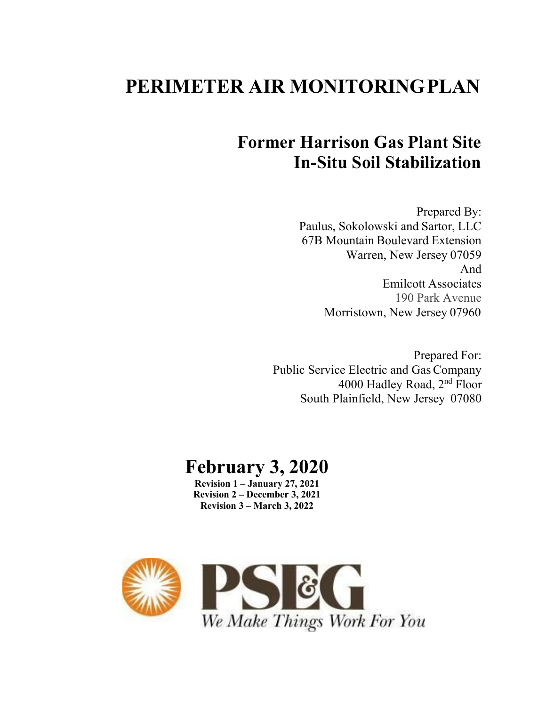# **PERIMETER AIR MONITORINGPLAN**

# **Former Harrison Gas Plant Site In-Situ Soil Stabilization**

Prepared By: Paulus, Sokolowski and Sartor, LLC 67B Mountain Boulevard Extension Warren, New Jersey 07059 And Emilcott Associates 190 Park Avenue Morristown, New Jersey 07960

Prepared For: Public Service Electric and Gas Company 4000 Hadley Road, 2nd Floor South Plainfield, New Jersey 07080

# **February 3, 2020**

**Revision 1 – January 27, 2021 Revision 2 – December 3, 2021 Revision 3 – March 3, 2022**

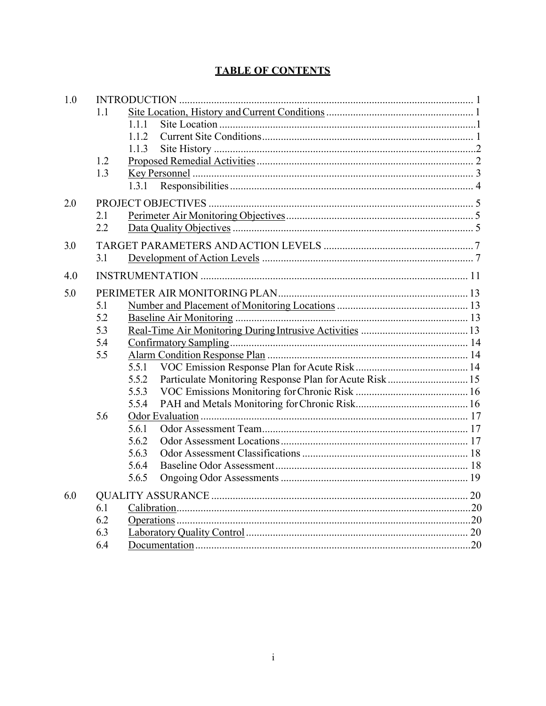# **TABLE OF CONTENTS**

| 1.0 |     |                                                                 |  |  |  |  |  |
|-----|-----|-----------------------------------------------------------------|--|--|--|--|--|
|     | 1.1 |                                                                 |  |  |  |  |  |
|     |     | 1.1.1                                                           |  |  |  |  |  |
|     |     | 1.1.2                                                           |  |  |  |  |  |
|     |     | 1.1.3                                                           |  |  |  |  |  |
|     | 1.2 |                                                                 |  |  |  |  |  |
|     | 1.3 |                                                                 |  |  |  |  |  |
|     |     | 1.3.1                                                           |  |  |  |  |  |
| 2.0 |     |                                                                 |  |  |  |  |  |
|     | 2.1 |                                                                 |  |  |  |  |  |
|     | 2.2 |                                                                 |  |  |  |  |  |
| 3.0 |     |                                                                 |  |  |  |  |  |
|     | 3.1 |                                                                 |  |  |  |  |  |
| 4.0 |     |                                                                 |  |  |  |  |  |
| 5.0 |     |                                                                 |  |  |  |  |  |
|     | 5.1 |                                                                 |  |  |  |  |  |
|     | 5.2 |                                                                 |  |  |  |  |  |
|     | 5.3 |                                                                 |  |  |  |  |  |
|     | 5.4 |                                                                 |  |  |  |  |  |
|     | 5.5 |                                                                 |  |  |  |  |  |
|     |     | 5.5.1                                                           |  |  |  |  |  |
|     |     | Particulate Monitoring Response Plan for Acute Risk 15<br>5.5.2 |  |  |  |  |  |
|     |     | 5.5.3                                                           |  |  |  |  |  |
|     |     | 5.5.4                                                           |  |  |  |  |  |
|     | 5.6 |                                                                 |  |  |  |  |  |
|     |     | 5.6.1                                                           |  |  |  |  |  |
|     |     | 5.6.2                                                           |  |  |  |  |  |
|     |     | 5.6.3                                                           |  |  |  |  |  |
|     |     | 5.6.4                                                           |  |  |  |  |  |
|     |     | 5.6.5                                                           |  |  |  |  |  |
| 6.0 |     |                                                                 |  |  |  |  |  |
|     | 6.1 |                                                                 |  |  |  |  |  |
|     | 6.2 |                                                                 |  |  |  |  |  |
|     | 6.3 |                                                                 |  |  |  |  |  |
|     | 6.4 |                                                                 |  |  |  |  |  |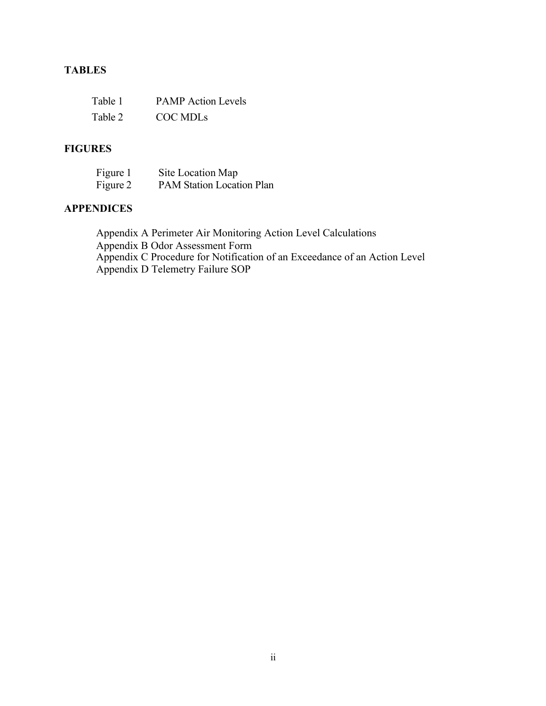# **TABLES**

| Table 1 | <b>PAMP</b> Action Levels |
|---------|---------------------------|
| Table 2 | COC MDLS                  |

# **FIGURES**

| Figure 1 | Site Location Map                |
|----------|----------------------------------|
| Figure 2 | <b>PAM Station Location Plan</b> |

# **APPENDICES**

Appendix A Perimeter Air Monitoring Action Level Calculations Appendix B Odor Assessment Form Appendix C Procedure for Notification of an Exceedance of an Action Level Appendix D Telemetry Failure SOP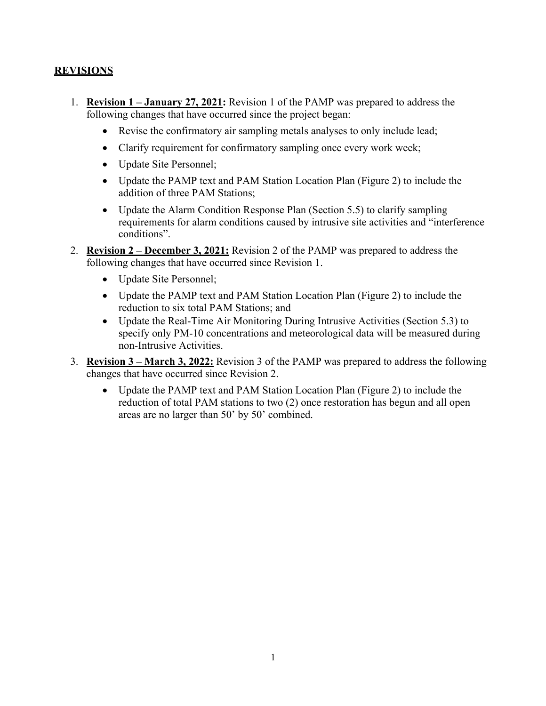### **REVISIONS**

- 1. **Revision 1 – January 27, 2021:** Revision 1 of the PAMP was prepared to address the following changes that have occurred since the project began:
	- Revise the confirmatory air sampling metals analyses to only include lead;
	- Clarify requirement for confirmatory sampling once every work week;
	- Update Site Personnel;
	- Update the PAMP text and PAM Station Location Plan (Figure 2) to include the addition of three PAM Stations;
	- Update the Alarm Condition Response Plan (Section 5.5) to clarify sampling requirements for alarm conditions caused by intrusive site activities and "interference conditions".
- 2. **Revision 2 – December 3, 2021:** Revision 2 of the PAMP was prepared to address the following changes that have occurred since Revision 1.
	- Update Site Personnel;
	- Update the PAMP text and PAM Station Location Plan (Figure 2) to include the reduction to six total PAM Stations; and
	- Update the Real-Time Air Monitoring During Intrusive Activities (Section 5.3) to specify only PM-10 concentrations and meteorological data will be measured during non-Intrusive Activities.
- 3. **Revision 3 – March 3, 2022:** Revision 3 of the PAMP was prepared to address the following changes that have occurred since Revision 2.
	- Update the PAMP text and PAM Station Location Plan (Figure 2) to include the reduction of total PAM stations to two (2) once restoration has begun and all open areas are no larger than 50' by 50' combined.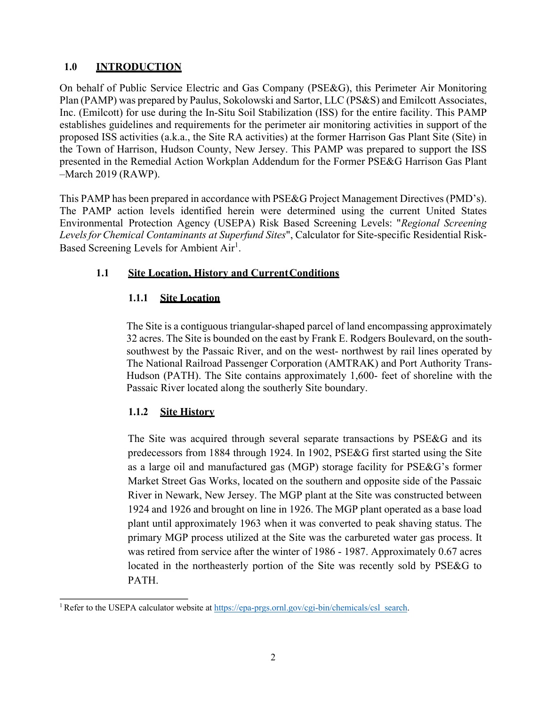# **1.0 INTRODUCTION**

On behalf of Public Service Electric and Gas Company (PSE&G), this Perimeter Air Monitoring Plan (PAMP) was prepared by Paulus, Sokolowski and Sartor, LLC (PS&S) and Emilcott Associates, Inc. (Emilcott) for use during the In-Situ Soil Stabilization (ISS) for the entire facility. This PAMP establishes guidelines and requirements for the perimeter air monitoring activities in support of the proposed ISS activities (a.k.a., the Site RA activities) at the former Harrison Gas Plant Site (Site) in the Town of Harrison, Hudson County, New Jersey. This PAMP was prepared to support the ISS presented in the Remedial Action Workplan Addendum for the Former PSE&G Harrison Gas Plant –March 2019 (RAWP).

This PAMP has been prepared in accordance with PSE&G Project Management Directives (PMD's). The PAMP action levels identified herein were determined using the current United States Environmental Protection Agency (USEPA) Risk Based Screening Levels: "*Regional Screening LevelsforChemical Contaminants at Superfund Sites*", Calculator for Site-specific Residential Risk-Based Screening Levels for Ambient Air<sup>1</sup>.

# **1.1 Site Location, History and CurrentConditions**

# **1.1.1 Site Location**

The Site is a contiguous triangular-shaped parcel of land encompassing approximately 32 acres. The Site is bounded on the east by Frank E. Rodgers Boulevard, on the southsouthwest by the Passaic River, and on the west- northwest by rail lines operated by The National Railroad Passenger Corporation (AMTRAK) and Port Authority Trans-Hudson (PATH). The Site contains approximately 1,600- feet of shoreline with the Passaic River located along the southerly Site boundary.

# **1.1.2 Site History**

The Site was acquired through several separate transactions by PSE&G and its predecessors from 1884 through 1924. In 1902, PSE&G first started using the Site as a large oil and manufactured gas (MGP) storage facility for PSE&G's former Market Street Gas Works, located on the southern and opposite side of the Passaic River in Newark, New Jersey. The MGP plant at the Site was constructed between 1924 and 1926 and brought on line in 1926. The MGP plant operated as a base load plant until approximately 1963 when it was converted to peak shaving status. The primary MGP process utilized at the Site was the carbureted water gas process. It was retired from service after the winter of 1986 - 1987. Approximately 0.67 acres located in the northeasterly portion of the Site was recently sold by PSE&G to PATH.

<sup>&</sup>lt;sup>1</sup> Refer to the USEPA calculator website at https://epa-prgs.ornl.gov/cgi-bin/chemicals/csl\_search.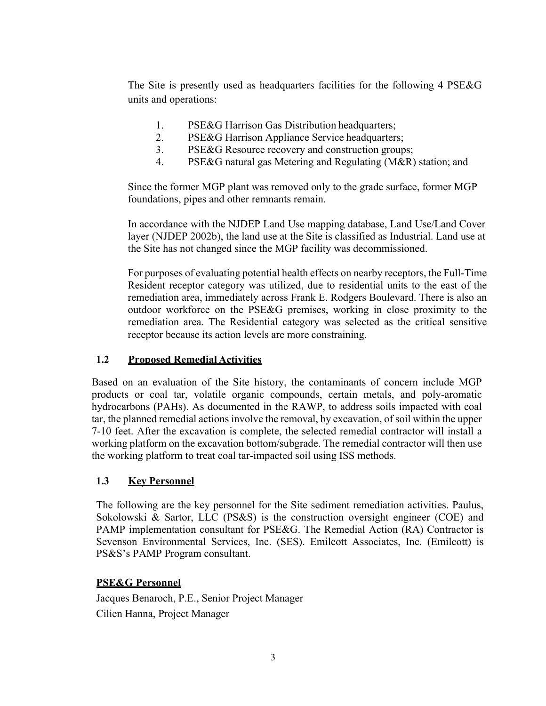The Site is presently used as headquarters facilities for the following 4 PSE&G units and operations:

- 1. PSE&G Harrison Gas Distribution headquarters;
- 2. PSE&G Harrison Appliance Service headquarters;
- 3. PSE&G Resource recovery and construction groups;
- 4. PSE&G natural gas Metering and Regulating (M&R) station; and

Since the former MGP plant was removed only to the grade surface, former MGP foundations, pipes and other remnants remain.

In accordance with the NJDEP Land Use mapping database, Land Use/Land Cover layer (NJDEP 2002b), the land use at the Site is classified as Industrial. Land use at the Site has not changed since the MGP facility was decommissioned.

For purposes of evaluating potential health effects on nearby receptors, the Full-Time Resident receptor category was utilized, due to residential units to the east of the remediation area, immediately across Frank E. Rodgers Boulevard. There is also an outdoor workforce on the PSE&G premises, working in close proximity to the remediation area. The Residential category was selected as the critical sensitive receptor because its action levels are more constraining.

# **1.2 Proposed Remedial Activities**

Based on an evaluation of the Site history, the contaminants of concern include MGP products or coal tar, volatile organic compounds, certain metals, and poly-aromatic hydrocarbons (PAHs). As documented in the RAWP, to address soils impacted with coal tar, the planned remedial actions involve the removal, by excavation, of soil within the upper 7-10 feet. After the excavation is complete, the selected remedial contractor will install a working platform on the excavation bottom/subgrade. The remedial contractor will then use the working platform to treat coal tar-impacted soil using ISS methods.

# **1.3 Key Personnel**

The following are the key personnel for the Site sediment remediation activities. Paulus, Sokolowski & Sartor, LLC (PS&S) is the construction oversight engineer (COE) and PAMP implementation consultant for PSE&G. The Remedial Action (RA) Contractor is Sevenson Environmental Services, Inc. (SES). Emilcott Associates, Inc. (Emilcott) is PS&S's PAMP Program consultant.

# **PSE&G Personnel**

Jacques Benaroch, P.E., Senior Project Manager Cilien Hanna, Project Manager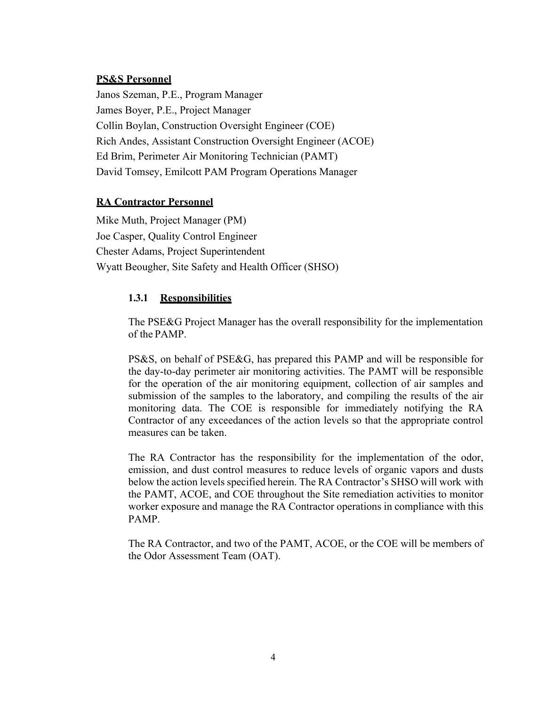#### **PS&S Personnel**

Janos Szeman, P.E., Program Manager James Boyer, P.E., Project Manager Collin Boylan, Construction Oversight Engineer (COE) Rich Andes, Assistant Construction Oversight Engineer (ACOE) Ed Brim, Perimeter Air Monitoring Technician (PAMT) David Tomsey, Emilcott PAM Program Operations Manager

#### **RA Contractor Personnel**

Mike Muth, Project Manager (PM) Joe Casper, Quality Control Engineer Chester Adams, Project Superintendent Wyatt Beougher, Site Safety and Health Officer (SHSO)

#### **1.3.1 Responsibilities**

The PSE&G Project Manager has the overall responsibility for the implementation of the PAMP.

PS&S, on behalf of PSE&G, has prepared this PAMP and will be responsible for the day-to-day perimeter air monitoring activities. The PAMT will be responsible for the operation of the air monitoring equipment, collection of air samples and submission of the samples to the laboratory, and compiling the results of the air monitoring data. The COE is responsible for immediately notifying the RA Contractor of any exceedances of the action levels so that the appropriate control measures can be taken.

The RA Contractor has the responsibility for the implementation of the odor, emission, and dust control measures to reduce levels of organic vapors and dusts below the action levels specified herein. The RA Contractor's SHSO will work with the PAMT, ACOE, and COE throughout the Site remediation activities to monitor worker exposure and manage the RA Contractor operations in compliance with this PAMP.

The RA Contractor, and two of the PAMT, ACOE, or the COE will be members of the Odor Assessment Team (OAT).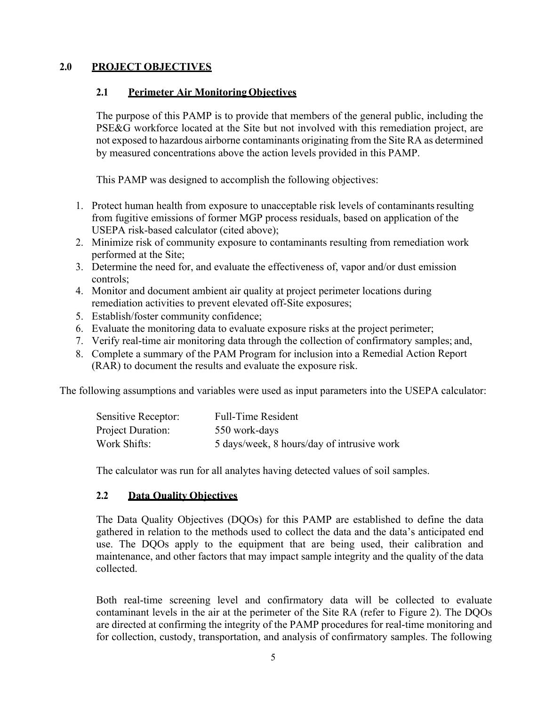## **2.0 PROJECT OBJECTIVES**

#### **2.1 Perimeter Air MonitoringObjectives**

The purpose of this PAMP is to provide that members of the general public, including the PSE&G workforce located at the Site but not involved with this remediation project, are not exposed to hazardous airborne contaminants originating from the Site RA as determined by measured concentrations above the action levels provided in this PAMP.

This PAMP was designed to accomplish the following objectives:

- 1. Protect human health from exposure to unacceptable risk levels of contaminants resulting from fugitive emissions of former MGP process residuals, based on application of the USEPA risk-based calculator (cited above);
- 2. Minimize risk of community exposure to contaminants resulting from remediation work performed at the Site;
- 3. Determine the need for, and evaluate the effectiveness of, vapor and/or dust emission controls;
- 4. Monitor and document ambient air quality at project perimeter locations during remediation activities to prevent elevated off-Site exposures;
- 5. Establish/foster community confidence;
- 6. Evaluate the monitoring data to evaluate exposure risks at the project perimeter;
- 7. Verify real-time air monitoring data through the collection of confirmatory samples; and,
- 8. Complete a summary of the PAM Program for inclusion into a Remedial Action Report (RAR) to document the results and evaluate the exposure risk.

The following assumptions and variables were used as input parameters into the USEPA calculator:

| Sensitive Receptor:      | <b>Full-Time Resident</b>                  |
|--------------------------|--------------------------------------------|
| <b>Project Duration:</b> | 550 work-days                              |
| Work Shifts:             | 5 days/week, 8 hours/day of intrusive work |

The calculator was run for all analytes having detected values of soil samples.

# **2.2 Data Quality Objectives**

The Data Quality Objectives (DQOs) for this PAMP are established to define the data gathered in relation to the methods used to collect the data and the data's anticipated end use. The DQOs apply to the equipment that are being used, their calibration and maintenance, and other factors that may impact sample integrity and the quality of the data collected.

Both real-time screening level and confirmatory data will be collected to evaluate contaminant levels in the air at the perimeter of the Site RA (refer to Figure 2). The DQOs are directed at confirming the integrity of the PAMP procedures for real-time monitoring and for collection, custody, transportation, and analysis of confirmatory samples. The following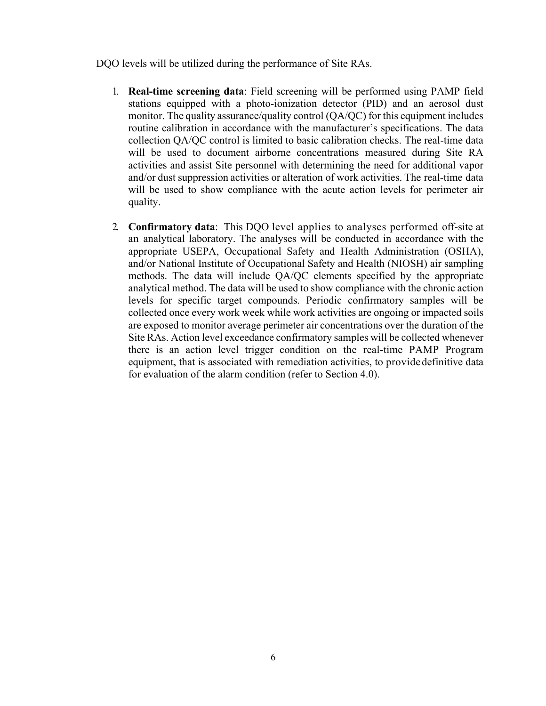DQO levels will be utilized during the performance of Site RAs.

- 1. **Real-time screening data**: Field screening will be performed using PAMP field stations equipped with a photo-ionization detector (PID) and an aerosol dust monitor. The quality assurance/quality control (QA/QC) for this equipment includes routine calibration in accordance with the manufacturer's specifications. The data collection QA/QC control is limited to basic calibration checks. The real-time data will be used to document airborne concentrations measured during Site RA activities and assist Site personnel with determining the need for additional vapor and/or dust suppression activities or alteration of work activities. The real-time data will be used to show compliance with the acute action levels for perimeter air quality.
- 2. **Confirmatory data**: This DQO level applies to analyses performed off-site at an analytical laboratory. The analyses will be conducted in accordance with the appropriate USEPA, Occupational Safety and Health Administration (OSHA), and/or National Institute of Occupational Safety and Health (NIOSH) air sampling methods. The data will include QA/QC elements specified by the appropriate analytical method. The data will be used to show compliance with the chronic action levels for specific target compounds. Periodic confirmatory samples will be collected once every work week while work activities are ongoing or impacted soils are exposed to monitor average perimeter air concentrations over the duration of the Site RAs. Action level exceedance confirmatory samples will be collected whenever there is an action level trigger condition on the real-time PAMP Program equipment, that is associated with remediation activities, to providedefinitive data for evaluation of the alarm condition (refer to Section 4.0).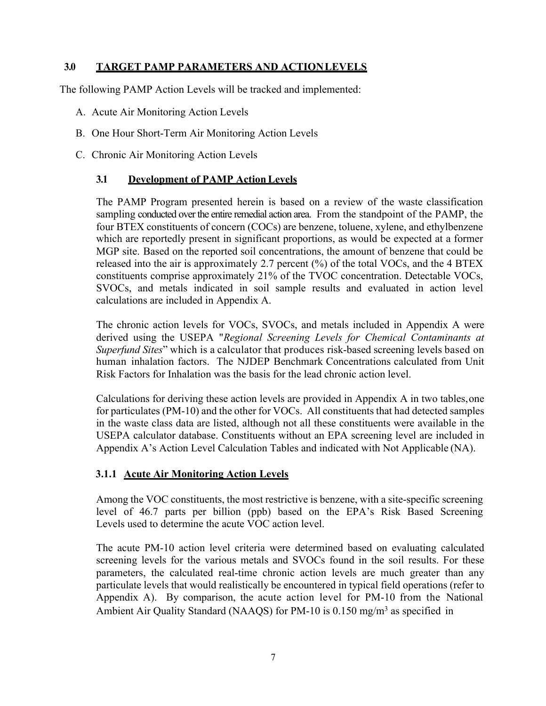# **3.0 TARGET PAMP PARAMETERS AND ACTIONLEVELS**

The following PAMP Action Levels will be tracked and implemented:

- A. Acute Air Monitoring Action Levels
- B. One Hour Short-Term Air Monitoring Action Levels
- C. Chronic Air Monitoring Action Levels

### **3.1 Development of PAMP ActionLevels**

The PAMP Program presented herein is based on a review of the waste classification sampling conducted over the entire remedial action area. From the standpoint of the PAMP, the four BTEX constituents of concern (COCs) are benzene, toluene, xylene, and ethylbenzene which are reportedly present in significant proportions, as would be expected at a former MGP site. Based on the reported soil concentrations, the amount of benzene that could be released into the air is approximately 2.7 percent (%) of the total VOCs, and the 4 BTEX constituents comprise approximately 21% of the TVOC concentration. Detectable VOCs, SVOCs, and metals indicated in soil sample results and evaluated in action level calculations are included in Appendix A.

The chronic action levels for VOCs, SVOCs, and metals included in Appendix A were derived using the USEPA "*Regional Screening Levels for Chemical Contaminants at Superfund Sites*" which is a calculator that produces risk-based screening levels based on human inhalation factors. The NJDEP Benchmark Concentrations calculated from Unit Risk Factors for Inhalation was the basis for the lead chronic action level.

Calculations for deriving these action levels are provided in Appendix A in two tables,one for particulates (PM-10) and the other for VOCs. All constituents that had detected samples in the waste class data are listed, although not all these constituents were available in the USEPA calculator database. Constituents without an EPA screening level are included in Appendix A's Action Level Calculation Tables and indicated with Not Applicable (NA).

# **3.1.1 Acute Air Monitoring Action Levels**

Among the VOC constituents, the most restrictive is benzene, with a site-specific screening level of 46.7 parts per billion (ppb) based on the EPA's Risk Based Screening Levels used to determine the acute VOC action level.

The acute PM-10 action level criteria were determined based on evaluating calculated screening levels for the various metals and SVOCs found in the soil results. For these parameters, the calculated real-time chronic action levels are much greater than any particulate levels that would realistically be encountered in typical field operations (refer to Appendix A). By comparison, the acute action level for PM-10 from the National Ambient Air Quality Standard (NAAQS) for PM-10 is  $0.150 \text{ mg/m}^3$  as specified in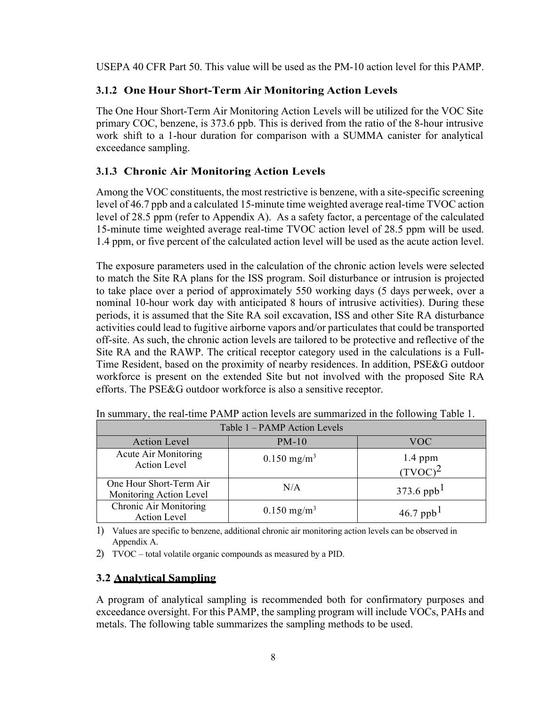USEPA 40 CFR Part 50. This value will be used as the PM-10 action level for this PAMP.

# **3.1.2 One Hour Short-Term Air Monitoring Action Levels**

The One Hour Short-Term Air Monitoring Action Levels will be utilized for the VOC Site primary COC, benzene, is 373.6 ppb. This is derived from the ratio of the 8-hour intrusive work shift to a 1-hour duration for comparison with a SUMMA canister for analytical exceedance sampling.

# **3.1.3 Chronic Air Monitoring Action Levels**

Among the VOC constituents, the most restrictive is benzene, with a site-specific screening level of 46.7 ppb and a calculated 15-minute time weighted average real-time TVOC action level of 28.5 ppm (refer to Appendix A). As a safety factor, a percentage of the calculated 15-minute time weighted average real-time TVOC action level of 28.5 ppm will be used. 1.4 ppm, or five percent of the calculated action level will be used as the acute action level.

The exposure parameters used in the calculation of the chronic action levels were selected to match the Site RA plans for the ISS program. Soil disturbance or intrusion is projected to take place over a period of approximately 550 working days (5 days perweek, over a nominal 10-hour work day with anticipated 8 hours of intrusive activities). During these periods, it is assumed that the Site RA soil excavation, ISS and other Site RA disturbance activities could lead to fugitive airborne vapors and/or particulates that could be transported off-site. As such, the chronic action levels are tailored to be protective and reflective of the Site RA and the RAWP. The critical receptor category used in the calculations is a Full-Time Resident, based on the proximity of nearby residences. In addition, PSE&G outdoor workforce is present on the extended Site but not involved with the proposed Site RA efforts. The PSE&G outdoor workforce is also a sensitive receptor.

| Table 1 - PAMP Action Levels                       |                           |                         |  |  |
|----------------------------------------------------|---------------------------|-------------------------|--|--|
| <b>Action Level</b>                                | $PM-10$                   | <b>VOC</b>              |  |  |
| Acute Air Monitoring<br><b>Action Level</b>        | $0.150$ mg/m <sup>3</sup> | $1.4$ ppm<br>$(TVOC)^2$ |  |  |
| One Hour Short-Term Air<br>Monitoring Action Level | N/A                       | 373.6 ppb <sup>1</sup>  |  |  |
| Chronic Air Monitoring<br><b>Action Level</b>      | $0.150$ mg/m <sup>3</sup> | 46.7 ppb <sup>1</sup>   |  |  |

In summary, the real-time PAMP action levels are summarized in the following Table 1.

1) Values are specific to benzene, additional chronic air monitoring action levels can be observed in Appendix A.

2) TVOC – total volatile organic compounds as measured by a PID.

# **3.2 Analytical Sampling**

A program of analytical sampling is recommended both for confirmatory purposes and exceedance oversight. For this PAMP, the sampling program will include VOCs, PAHs and metals. The following table summarizes the sampling methods to be used.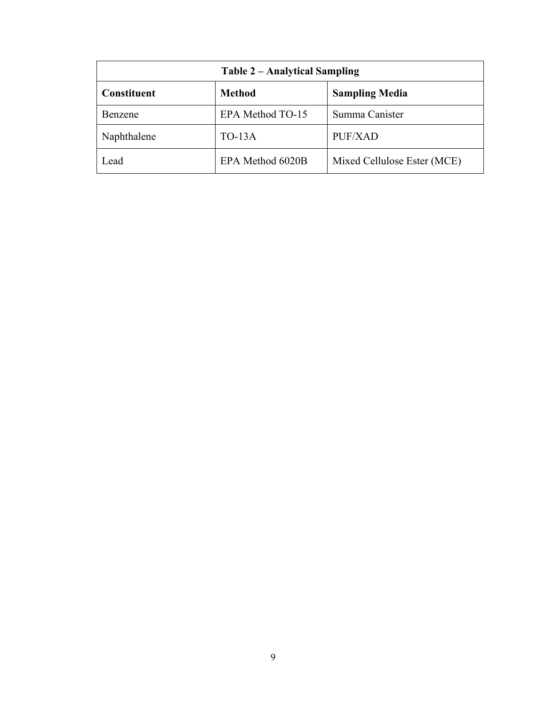| Table 2 – Analytical Sampling |                  |                             |  |  |
|-------------------------------|------------------|-----------------------------|--|--|
| <b>Constituent</b>            | <b>Method</b>    | <b>Sampling Media</b>       |  |  |
| Benzene                       | EPA Method TO-15 | Summa Canister              |  |  |
| Naphthalene                   | $TO-13A$         | PUF/XAD                     |  |  |
| Lead                          | EPA Method 6020B | Mixed Cellulose Ester (MCE) |  |  |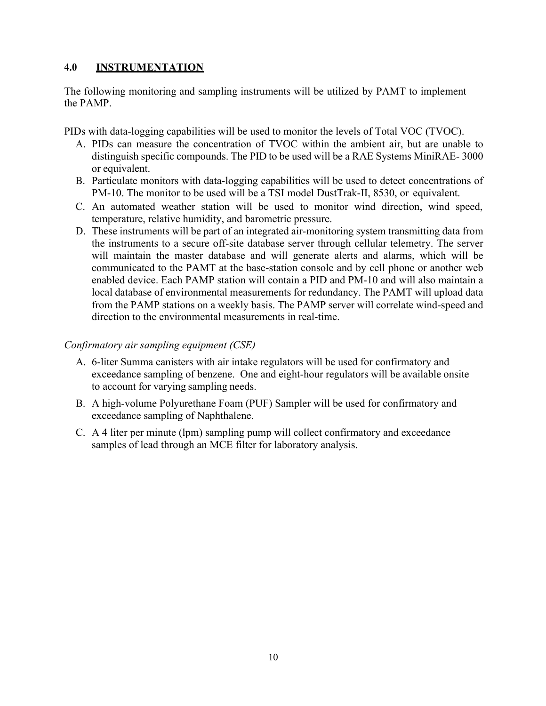# **4.0 INSTRUMENTATION**

The following monitoring and sampling instruments will be utilized by PAMT to implement the PAMP.

PIDs with data-logging capabilities will be used to monitor the levels of Total VOC (TVOC).

- A. PIDs can measure the concentration of TVOC within the ambient air, but are unable to distinguish specific compounds. The PID to be used will be a RAE Systems MiniRAE- 3000 or equivalent.
- B. Particulate monitors with data-logging capabilities will be used to detect concentrations of PM-10. The monitor to be used will be a TSI model DustTrak-II, 8530, or equivalent.
- C. An automated weather station will be used to monitor wind direction, wind speed, temperature, relative humidity, and barometric pressure.
- D. These instruments will be part of an integrated air-monitoring system transmitting data from the instruments to a secure off-site database server through cellular telemetry. The server will maintain the master database and will generate alerts and alarms, which will be communicated to the PAMT at the base-station console and by cell phone or another web enabled device. Each PAMP station will contain a PID and PM-10 and will also maintain a local database of environmental measurements for redundancy. The PAMT will upload data from the PAMP stations on a weekly basis. The PAMP server will correlate wind-speed and direction to the environmental measurements in real-time.

#### *Confirmatory air sampling equipment (CSE)*

- A. 6-liter Summa canisters with air intake regulators will be used for confirmatory and exceedance sampling of benzene. One and eight-hour regulators will be available onsite to account for varying sampling needs.
- B. A high-volume Polyurethane Foam (PUF) Sampler will be used for confirmatory and exceedance sampling of Naphthalene.
- C. A 4 liter per minute (lpm) sampling pump will collect confirmatory and exceedance samples of lead through an MCE filter for laboratory analysis.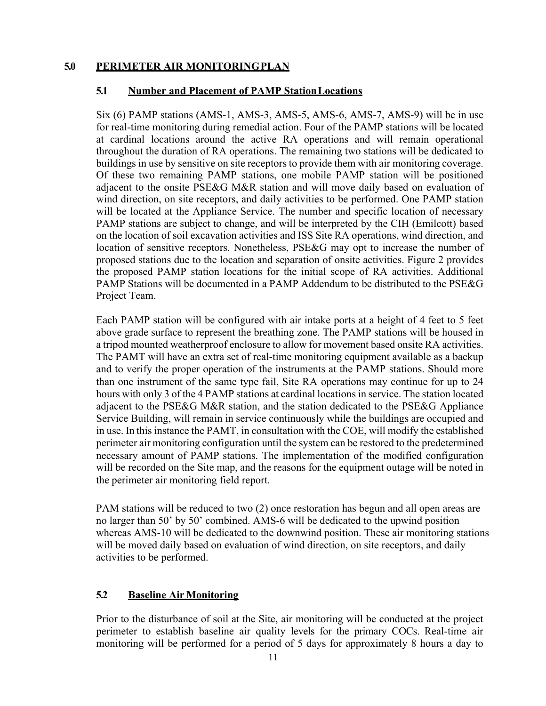### **5.0 PERIMETER AIR MONITORINGPLAN**

#### **5.1 Number and Placement of PAMP StationLocations**

Six (6) PAMP stations (AMS-1, AMS-3, AMS-5, AMS-6, AMS-7, AMS-9) will be in use for real-time monitoring during remedial action. Four of the PAMP stations will be located at cardinal locations around the active RA operations and will remain operational throughout the duration of RA operations. The remaining two stations will be dedicated to buildings in use by sensitive on site receptors to provide them with air monitoring coverage. Of these two remaining PAMP stations, one mobile PAMP station will be positioned adjacent to the onsite PSE&G M&R station and will move daily based on evaluation of wind direction, on site receptors, and daily activities to be performed. One PAMP station will be located at the Appliance Service. The number and specific location of necessary PAMP stations are subject to change, and will be interpreted by the CIH (Emilcott) based on the location of soil excavation activities and ISS Site RA operations, wind direction, and location of sensitive receptors. Nonetheless, PSE&G may opt to increase the number of proposed stations due to the location and separation of onsite activities. Figure 2 provides the proposed PAMP station locations for the initial scope of RA activities. Additional PAMP Stations will be documented in a PAMP Addendum to be distributed to the PSE&G Project Team.

Each PAMP station will be configured with air intake ports at a height of 4 feet to 5 feet above grade surface to represent the breathing zone. The PAMP stations will be housed in a tripod mounted weatherproof enclosure to allow for movement based onsite RA activities. The PAMT will have an extra set of real-time monitoring equipment available as a backup and to verify the proper operation of the instruments at the PAMP stations. Should more than one instrument of the same type fail, Site RA operations may continue for up to 24 hours with only 3 of the 4 PAMP stations at cardinal locations in service. The station located adjacent to the PSE&G M&R station, and the station dedicated to the PSE&G Appliance Service Building, will remain in service continuously while the buildings are occupied and in use. In this instance the PAMT, in consultation with the COE, will modify the established perimeter air monitoring configuration until the system can be restored to the predetermined necessary amount of PAMP stations. The implementation of the modified configuration will be recorded on the Site map, and the reasons for the equipment outage will be noted in the perimeter air monitoring field report.

PAM stations will be reduced to two (2) once restoration has begun and all open areas are no larger than 50' by 50' combined. AMS-6 will be dedicated to the upwind position whereas AMS-10 will be dedicated to the downwind position. These air monitoring stations will be moved daily based on evaluation of wind direction, on site receptors, and daily activities to be performed.

#### **5.2 Baseline Air Monitoring**

Prior to the disturbance of soil at the Site, air monitoring will be conducted at the project perimeter to establish baseline air quality levels for the primary COCs. Real-time air monitoring will be performed for a period of 5 days for approximately 8 hours a day to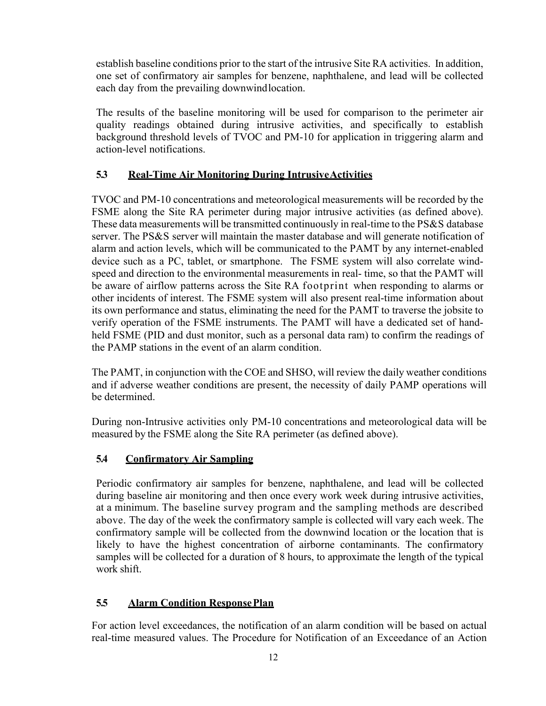establish baseline conditions prior to the start of the intrusive Site RA activities. In addition, one set of confirmatory air samples for benzene, naphthalene, and lead will be collected each day from the prevailing downwindlocation.

The results of the baseline monitoring will be used for comparison to the perimeter air quality readings obtained during intrusive activities, and specifically to establish background threshold levels of TVOC and PM-10 for application in triggering alarm and action-level notifications.

# **5.3 Real-Time Air Monitoring During IntrusiveActivities**

TVOC and PM-10 concentrations and meteorological measurements will be recorded by the FSME along the Site RA perimeter during major intrusive activities (as defined above). These data measurements will be transmitted continuously in real-time to the PS&S database server. The PS&S server will maintain the master database and will generate notification of alarm and action levels, which will be communicated to the PAMT by any internet-enabled device such as a PC, tablet, or smartphone. The FSME system will also correlate windspeed and direction to the environmental measurements in real- time, so that the PAMT will be aware of airflow patterns across the Site RA footprint when responding to alarms or other incidents of interest. The FSME system will also present real-time information about its own performance and status, eliminating the need for the PAMT to traverse the jobsite to verify operation of the FSME instruments. The PAMT will have a dedicated set of handheld FSME (PID and dust monitor, such as a personal data ram) to confirm the readings of the PAMP stations in the event of an alarm condition.

The PAMT, in conjunction with the COE and SHSO, will review the daily weather conditions and if adverse weather conditions are present, the necessity of daily PAMP operations will be determined.

During non-Intrusive activities only PM-10 concentrations and meteorological data will be measured by the FSME along the Site RA perimeter (as defined above).

# **5.4 Confirmatory Air Sampling**

Periodic confirmatory air samples for benzene, naphthalene, and lead will be collected during baseline air monitoring and then once every work week during intrusive activities, at a minimum. The baseline survey program and the sampling methods are described above. The day of the week the confirmatory sample is collected will vary each week. The confirmatory sample will be collected from the downwind location or the location that is likely to have the highest concentration of airborne contaminants. The confirmatory samples will be collected for a duration of 8 hours, to approximate the length of the typical work shift.

# **5.5 Alarm Condition ResponsePlan**

For action level exceedances, the notification of an alarm condition will be based on actual real-time measured values. The Procedure for Notification of an Exceedance of an Action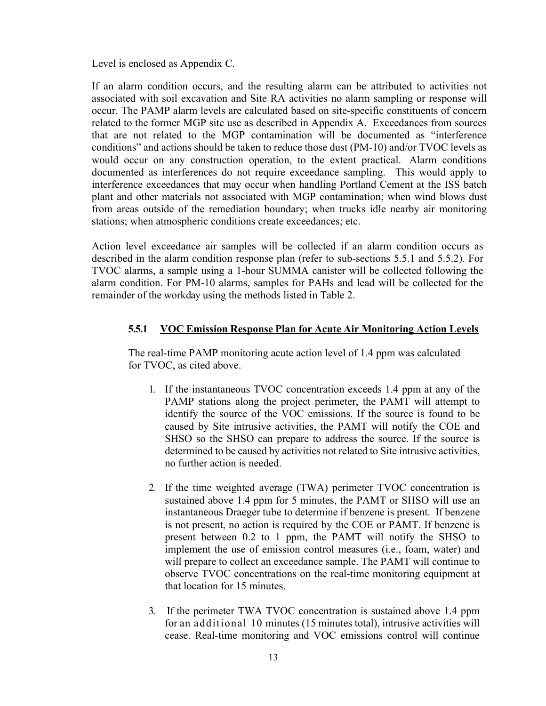Level is enclosed as Appendix C.

If an alarm condition occurs, and the resulting alarm can be attributed to activities not associated with soil excavation and Site RA activities no alarm sampling or response will occur. The PAMP alarm levels are calculated based on site-specific constituents of concern related to the former MGP site use as described in Appendix A. Exceedances from sources that are not related to the MGP contamination will be documented as "interference conditions" and actions should be taken to reduce those dust (PM-10) and/or TVOC levels as would occur on any construction operation, to the extent practical. Alarm conditions documented as interferences do not require exceedance sampling. This would apply to interference exceedances that may occur when handling Portland Cement at the ISS batch plant and other materials not associated with MGP contamination; when wind blows dust from areas outside of the remediation boundary; when trucks idle nearby air monitoring stations; when atmospheric conditions create exceedances; etc.

Action level exceedance air samples will be collected if an alarm condition occurs as described in the alarm condition response plan (refer to sub-sections 5.5.1 and 5.5.2). For TVOC alarms, a sample using a 1-hour SUMMA canister will be collected following the alarm condition. For PM-10 alarms, samples for PAHs and lead will be collected for the remainder of the workday using the methods listed in Table 2.

#### **5.5.1 VOC Emission Response Plan for Acute Air Monitoring Action Levels**

The real-time PAMP monitoring acute action level of 1.4 ppm was calculated for TVOC, as cited above.

- 1. If the instantaneous TVOC concentration exceeds 1.4 ppm at any of the PAMP stations along the project perimeter, the PAMT will attempt to identify the source of the VOC emissions. If the source is found to be caused by Site intrusive activities, the PAMT will notify the COE and SHSO so the SHSO can prepare to address the source. If the source is determined to be caused by activities not related to Site intrusive activities, no further action is needed.
- 2. If the time weighted average (TWA) perimeter TVOC concentration is sustained above 1.4 ppm for 5 minutes, the PAMT or SHSO will use an instantaneous Draeger tube to determine if benzene is present. If benzene is not present, no action is required by the COE or PAMT. If benzene is present between 0.2 to 1 ppm, the PAMT will notify the SHSO to implement the use of emission control measures (i.e., foam, water) and will prepare to collect an exceedance sample. The PAMT will continue to observe TVOC concentrations on the real-time monitoring equipment at that location for 15 minutes.
- 3. If the perimeter TWA TVOC concentration is sustained above 1.4 ppm for an additional 10 minutes (15 minutes total), intrusive activities will cease. Real-time monitoring and VOC emissions control will continue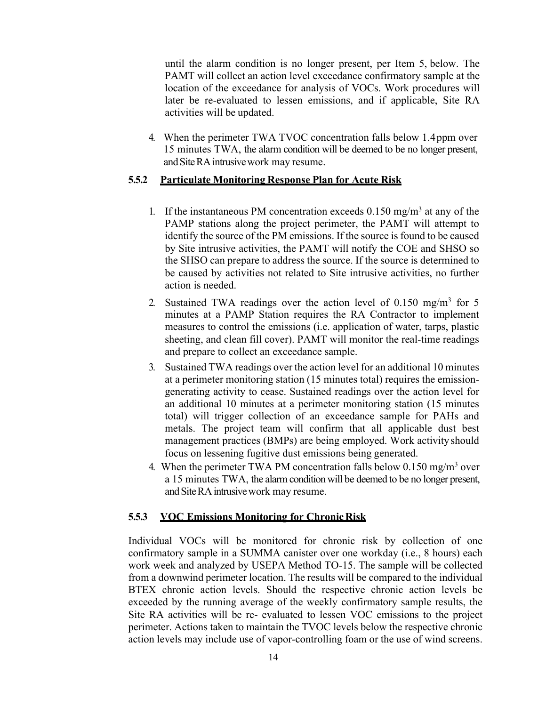until the alarm condition is no longer present, per Item 5, below. The PAMT will collect an action level exceedance confirmatory sample at the location of the exceedance for analysis of VOCs. Work procedures will later be re-evaluated to lessen emissions, and if applicable, Site RA activities will be updated.

4. When the perimeter TWA TVOC concentration falls below 1.4ppm over 15 minutes TWA, the alarm condition will be deemed to be no longer present, and Site RA intrusive work may resume.

#### **5.5.2 Particulate Monitoring Response Plan for Acute Risk**

- 1. If the instantaneous PM concentration exceeds  $0.150$  mg/m<sup>3</sup> at any of the PAMP stations along the project perimeter, the PAMT will attempt to identify the source of the PM emissions. If the source is found to be caused by Site intrusive activities, the PAMT will notify the COE and SHSO so the SHSO can prepare to address the source. If the source is determined to be caused by activities not related to Site intrusive activities, no further action is needed.
- 2. Sustained TWA readings over the action level of  $0.150 \text{ mg/m}^3$  for 5 minutes at a PAMP Station requires the RA Contractor to implement measures to control the emissions (i.e. application of water, tarps, plastic sheeting, and clean fill cover). PAMT will monitor the real-time readings and prepare to collect an exceedance sample.
- 3. Sustained TWA readings over the action level for an additional 10 minutes at a perimeter monitoring station (15 minutes total) requires the emissiongenerating activity to cease. Sustained readings over the action level for an additional 10 minutes at a perimeter monitoring station (15 minutes total) will trigger collection of an exceedance sample for PAHs and metals. The project team will confirm that all applicable dust best management practices (BMPs) are being employed. Work activity should focus on lessening fugitive dust emissions being generated.
- 4. When the perimeter TWA PM concentration falls below  $0.150 \text{ mg/m}^3$  over a 15 minutes TWA, the alarm condition will be deemed to be no longer present, and Site RA intrusive work may resume.

#### **5.5.3 VOC Emissions Monitoring for ChronicRisk**

Individual VOCs will be monitored for chronic risk by collection of one confirmatory sample in a SUMMA canister over one workday (i.e., 8 hours) each work week and analyzed by USEPA Method TO-15. The sample will be collected from a downwind perimeter location. The results will be compared to the individual BTEX chronic action levels. Should the respective chronic action levels be exceeded by the running average of the weekly confirmatory sample results, the Site RA activities will be re- evaluated to lessen VOC emissions to the project perimeter. Actions taken to maintain the TVOC levels below the respective chronic action levels may include use of vapor-controlling foam or the use of wind screens.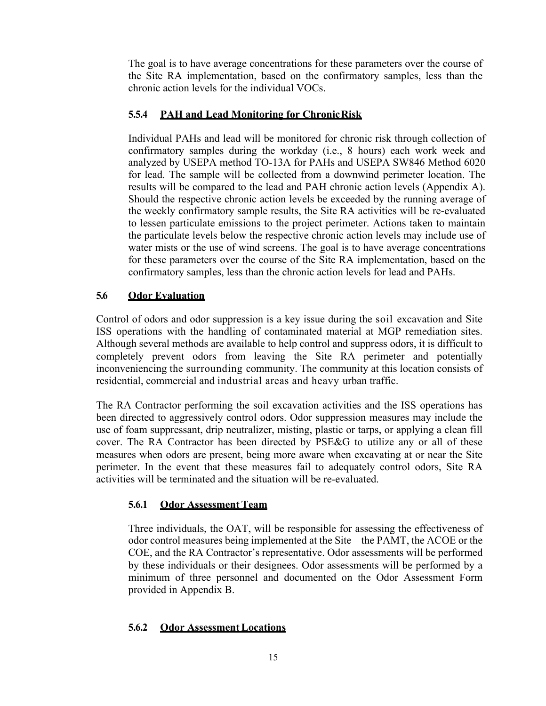The goal is to have average concentrations for these parameters over the course of the Site RA implementation, based on the confirmatory samples, less than the chronic action levels for the individual VOCs.

# **5.5.4 PAH and Lead Monitoring for ChronicRisk**

Individual PAHs and lead will be monitored for chronic risk through collection of confirmatory samples during the workday (i.e., 8 hours) each work week and analyzed by USEPA method TO-13A for PAHs and USEPA SW846 Method 6020 for lead. The sample will be collected from a downwind perimeter location. The results will be compared to the lead and PAH chronic action levels (Appendix A). Should the respective chronic action levels be exceeded by the running average of the weekly confirmatory sample results, the Site RA activities will be re-evaluated to lessen particulate emissions to the project perimeter. Actions taken to maintain the particulate levels below the respective chronic action levels may include use of water mists or the use of wind screens. The goal is to have average concentrations for these parameters over the course of the Site RA implementation, based on the confirmatory samples, less than the chronic action levels for lead and PAHs.

# **5.6 Odor Evaluation**

Control of odors and odor suppression is a key issue during the soil excavation and Site ISS operations with the handling of contaminated material at MGP remediation sites. Although several methods are available to help control and suppress odors, it is difficult to completely prevent odors from leaving the Site RA perimeter and potentially inconveniencing the surrounding community. The community at this location consists of residential, commercial and industrial areas and heavy urban traffic.

The RA Contractor performing the soil excavation activities and the ISS operations has been directed to aggressively control odors. Odor suppression measures may include the use of foam suppressant, drip neutralizer, misting, plastic or tarps, or applying a clean fill cover. The RA Contractor has been directed by PSE&G to utilize any or all of these measures when odors are present, being more aware when excavating at or near the Site perimeter. In the event that these measures fail to adequately control odors, Site RA activities will be terminated and the situation will be re-evaluated.

# **5.6.1** Odor Assessment Team

Three individuals, the OAT, will be responsible for assessing the effectiveness of odor control measures being implemented at the Site – the PAMT, the ACOE or the COE, and the RA Contractor's representative. Odor assessments will be performed by these individuals or their designees. Odor assessments will be performed by a minimum of three personnel and documented on the Odor Assessment Form provided in Appendix B.

# **5.6.2 Odor AssessmentLocations**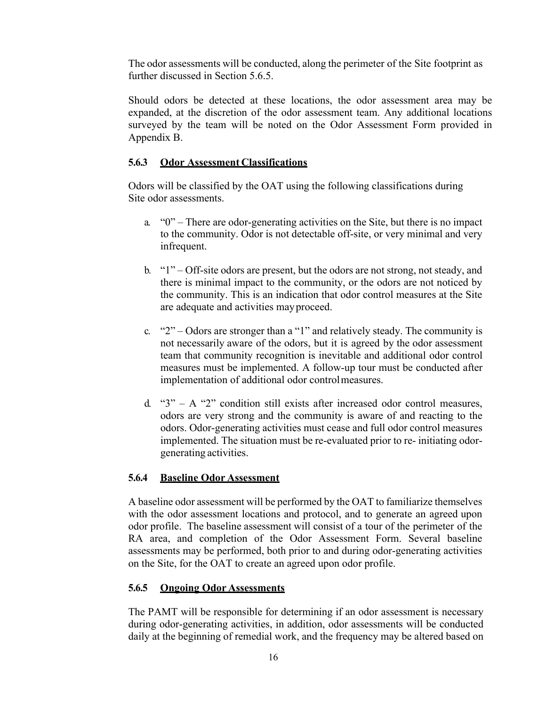The odor assessments will be conducted, along the perimeter of the Site footprint as further discussed in Section 5.6.5.

Should odors be detected at these locations, the odor assessment area may be expanded, at the discretion of the odor assessment team. Any additional locations surveyed by the team will be noted on the Odor Assessment Form provided in Appendix B.

#### **5.6.3 Odor Assessment Classifications**

Odors will be classified by the OAT using the following classifications during Site odor assessments.

- a. "0" There are odor-generating activities on the Site, but there is no impact to the community. Odor is not detectable off-site, or very minimal and very infrequent.
- b. "1" Off-site odors are present, but the odors are not strong, not steady, and there is minimal impact to the community, or the odors are not noticed by the community. This is an indication that odor control measures at the Site are adequate and activities mayproceed.
- c. "2" Odors are stronger than a "1" and relatively steady. The community is not necessarily aware of the odors, but it is agreed by the odor assessment team that community recognition is inevitable and additional odor control measures must be implemented. A follow-up tour must be conducted after implementation of additional odor controlmeasures.
- d. " $3" A$  "2" condition still exists after increased odor control measures, odors are very strong and the community is aware of and reacting to the odors. Odor-generating activities must cease and full odor control measures implemented. The situation must be re-evaluated prior to re- initiating odorgenerating activities.

#### **5.6.4 Baseline Odor Assessment**

A baseline odor assessment will be performed by the OAT to familiarize themselves with the odor assessment locations and protocol, and to generate an agreed upon odor profile. The baseline assessment will consist of a tour of the perimeter of the RA area, and completion of the Odor Assessment Form. Several baseline assessments may be performed, both prior to and during odor-generating activities on the Site, for the OAT to create an agreed upon odor profile.

#### **5.6.5 Ongoing Odor Assessments**

The PAMT will be responsible for determining if an odor assessment is necessary during odor-generating activities, in addition, odor assessments will be conducted daily at the beginning of remedial work, and the frequency may be altered based on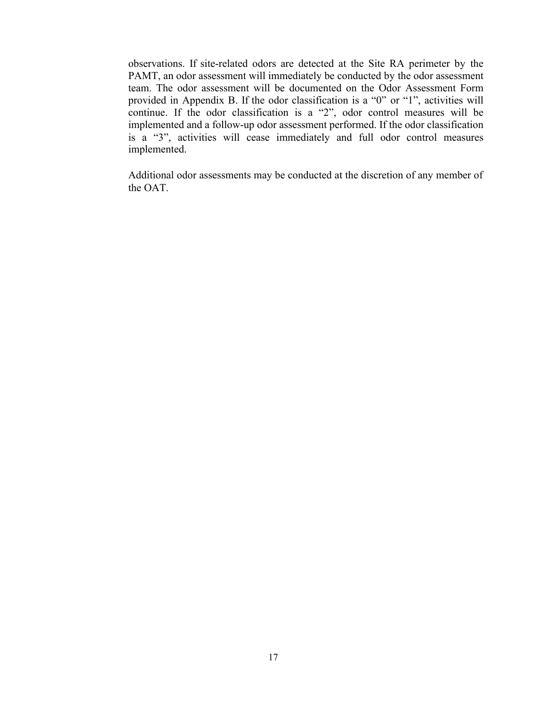observations. If site-related odors are detected at the Site RA perimeter by the PAMT, an odor assessment will immediately be conducted by the odor assessment team. The odor assessment will be documented on the Odor Assessment Form provided in Appendix B. If the odor classification is a "0" or "1", activities will continue. If the odor classification is a "2", odor control measures will be implemented and a follow-up odor assessment performed. If the odor classification is a "3", activities will cease immediately and full odor control measures implemented.

Additional odor assessments may be conducted at the discretion of any member of the OAT.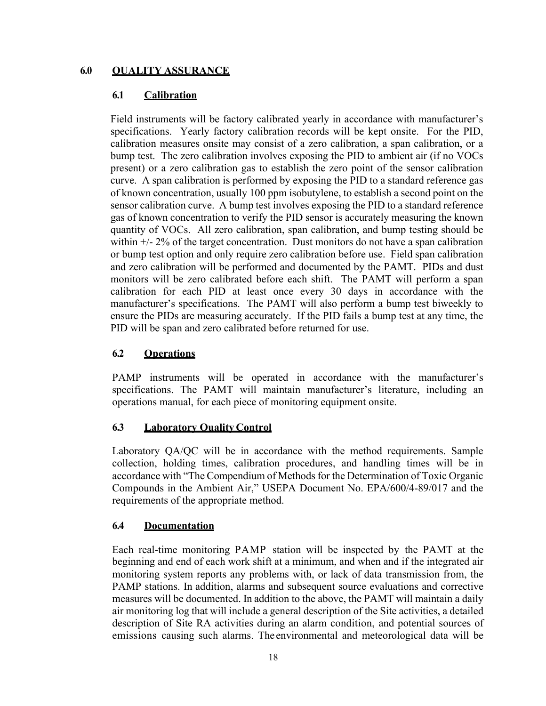## **6.0 QUALITY ASSURANCE**

#### **6.1 Calibration**

Field instruments will be factory calibrated yearly in accordance with manufacturer's specifications. Yearly factory calibration records will be kept onsite. For the PID, calibration measures onsite may consist of a zero calibration, a span calibration, or a bump test. The zero calibration involves exposing the PID to ambient air (if no VOCs present) or a zero calibration gas to establish the zero point of the sensor calibration curve. A span calibration is performed by exposing the PID to a standard reference gas of known concentration, usually 100 ppm isobutylene, to establish a second point on the sensor calibration curve. A bump test involves exposing the PID to a standard reference gas of known concentration to verify the PID sensor is accurately measuring the known quantity of VOCs. All zero calibration, span calibration, and bump testing should be within  $\pm/2\%$  of the target concentration. Dust monitors do not have a span calibration or bump test option and only require zero calibration before use. Field span calibration and zero calibration will be performed and documented by the PAMT. PIDs and dust monitors will be zero calibrated before each shift. The PAMT will perform a span calibration for each PID at least once every 30 days in accordance with the manufacturer's specifications. The PAMT will also perform a bump test biweekly to ensure the PIDs are measuring accurately. If the PID fails a bump test at any time, the PID will be span and zero calibrated before returned for use.

# **6.2 Operations**

PAMP instruments will be operated in accordance with the manufacturer's specifications. The PAMT will maintain manufacturer's literature, including an operations manual, for each piece of monitoring equipment onsite.

# **6.3 Laboratory Quality Control**

Laboratory QA/QC will be in accordance with the method requirements. Sample collection, holding times, calibration procedures, and handling times will be in accordance with "The Compendium of Methods for the Determination of Toxic Organic Compounds in the Ambient Air," USEPA Document No. EPA/600/4-89/017 and the requirements of the appropriate method.

# **6.4 Documentation**

Each real-time monitoring PAMP station will be inspected by the PAMT at the beginning and end of each work shift at a minimum, and when and if the integrated air monitoring system reports any problems with, or lack of data transmission from, the PAMP stations. In addition, alarms and subsequent source evaluations and corrective measures will be documented. In addition to the above, the PAMT will maintain a daily air monitoring log that will include a general description of the Site activities, a detailed description of Site RA activities during an alarm condition, and potential sources of emissions causing such alarms. The environmental and meteorological data will be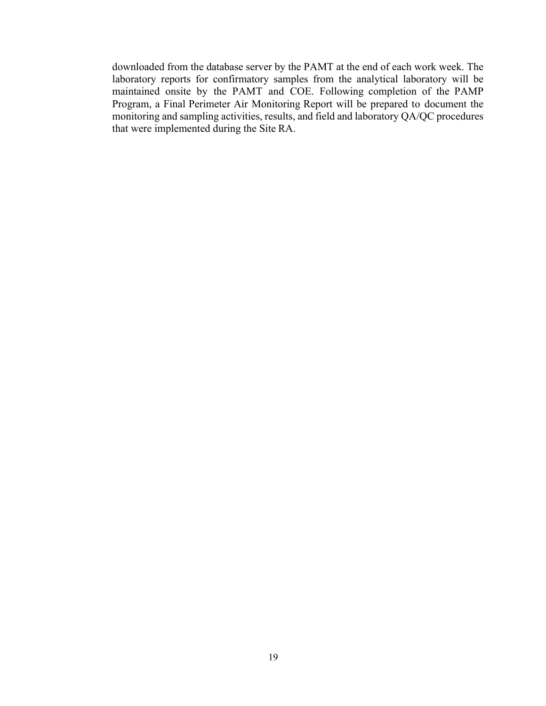downloaded from the database server by the PAMT at the end of each work week. The laboratory reports for confirmatory samples from the analytical laboratory will be maintained onsite by the PAMT and COE. Following completion of the PAMP Program, a Final Perimeter Air Monitoring Report will be prepared to document the monitoring and sampling activities, results, and field and laboratory QA/QC procedures that were implemented during the Site RA.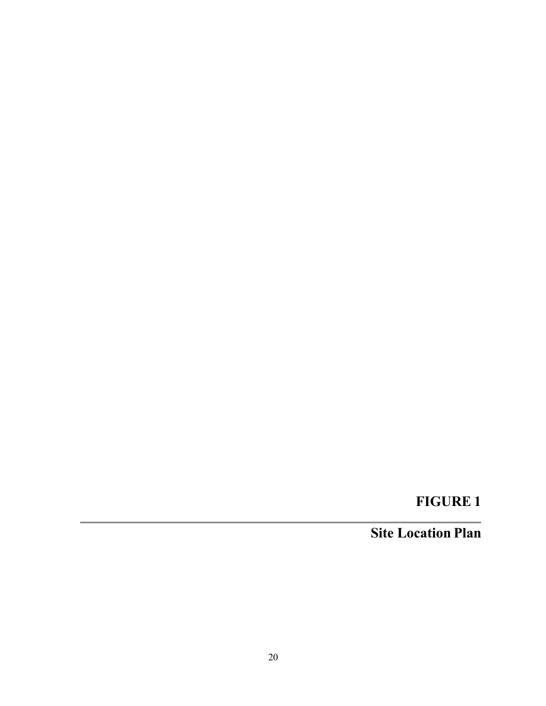# **FIGURE 1**

# **Site Location Plan**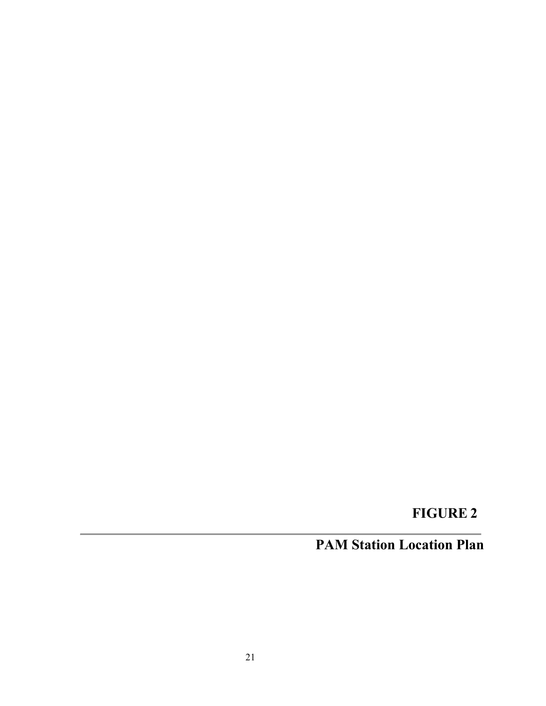# **FIGURE 2**

# **PAM Station Location Plan**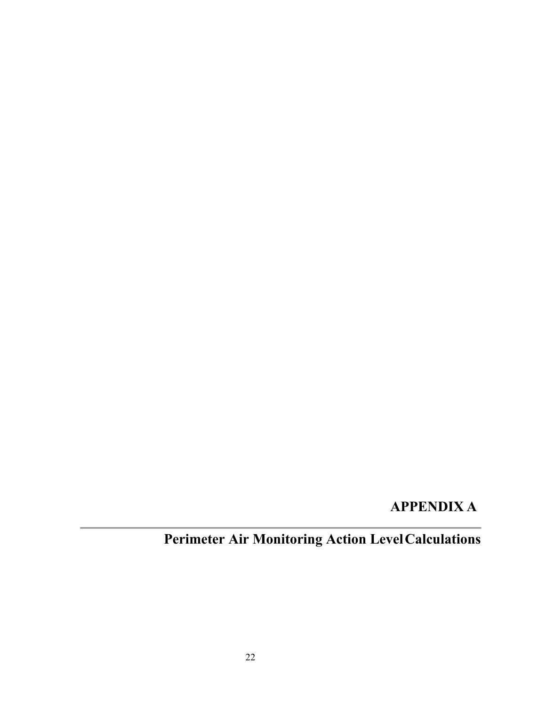# **APPENDIX A**

# **Perimeter Air Monitoring Action LevelCalculations**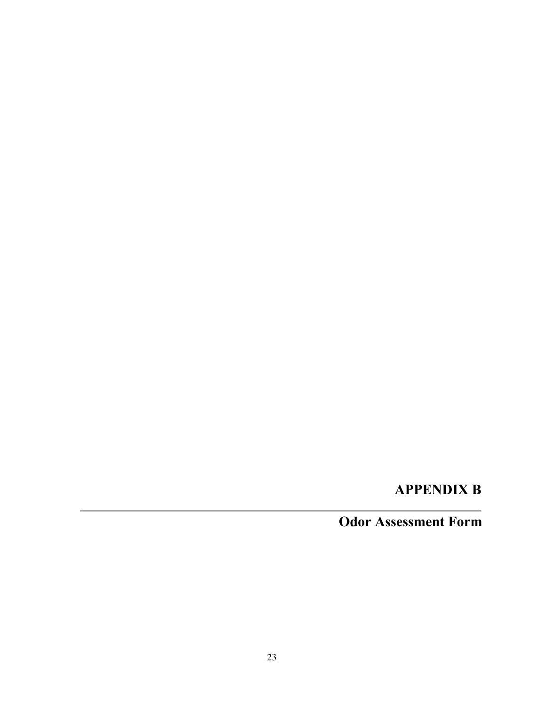# **APPENDIX B**

# **Odor Assessment Form**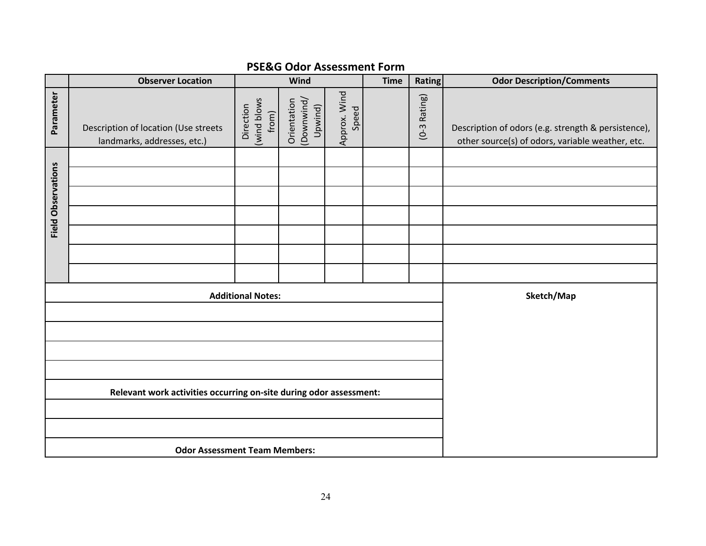|                                                                    | <b>Observer Location</b>                                            | Wind                              |                                      |                       | <b>Time</b> | Rating         | <b>Odor Description/Comments</b>                                                                        |
|--------------------------------------------------------------------|---------------------------------------------------------------------|-----------------------------------|--------------------------------------|-----------------------|-------------|----------------|---------------------------------------------------------------------------------------------------------|
| Parameter                                                          | Description of location (Use streets<br>landmarks, addresses, etc.) | (wind blows<br>Direction<br>from) | Orientation<br>(Downwind)<br>Upwind) | Approx. Wind<br>Speed |             | $(0-3$ Rating) | Description of odors (e.g. strength & persistence),<br>other source(s) of odors, variable weather, etc. |
|                                                                    |                                                                     |                                   |                                      |                       |             |                |                                                                                                         |
|                                                                    |                                                                     |                                   |                                      |                       |             |                |                                                                                                         |
| <b>Field Observations</b>                                          |                                                                     |                                   |                                      |                       |             |                |                                                                                                         |
|                                                                    |                                                                     |                                   |                                      |                       |             |                |                                                                                                         |
|                                                                    |                                                                     |                                   |                                      |                       |             |                |                                                                                                         |
|                                                                    |                                                                     |                                   |                                      |                       |             |                |                                                                                                         |
|                                                                    |                                                                     |                                   |                                      |                       |             |                |                                                                                                         |
| <b>Additional Notes:</b>                                           |                                                                     |                                   |                                      | Sketch/Map            |             |                |                                                                                                         |
|                                                                    |                                                                     |                                   |                                      |                       |             |                |                                                                                                         |
|                                                                    |                                                                     |                                   |                                      |                       |             |                |                                                                                                         |
|                                                                    |                                                                     |                                   |                                      |                       |             |                |                                                                                                         |
|                                                                    |                                                                     |                                   |                                      |                       |             |                |                                                                                                         |
| Relevant work activities occurring on-site during odor assessment: |                                                                     |                                   |                                      |                       |             |                |                                                                                                         |
|                                                                    |                                                                     |                                   |                                      |                       |             |                |                                                                                                         |
|                                                                    |                                                                     |                                   |                                      |                       |             |                |                                                                                                         |
|                                                                    | <b>Odor Assessment Team Members:</b>                                |                                   |                                      |                       |             |                |                                                                                                         |

# **PSE&G Odor Assessment Form**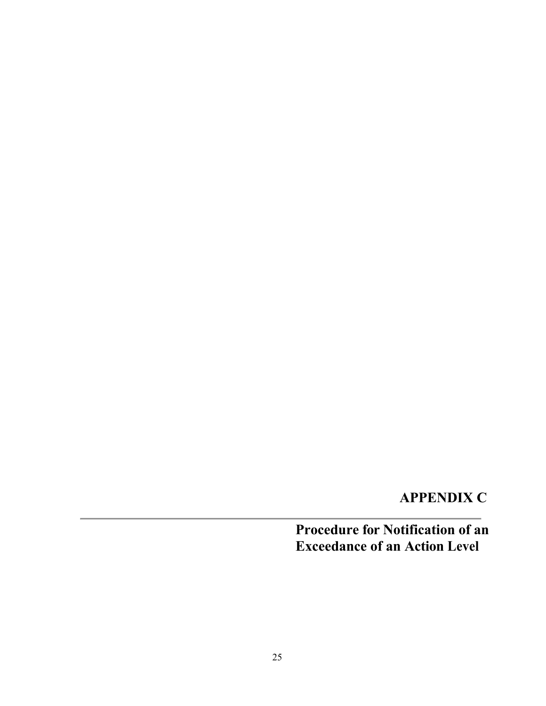# **APPENDIX C**

# **Procedure for Notification of an Exceedance of an Action Level**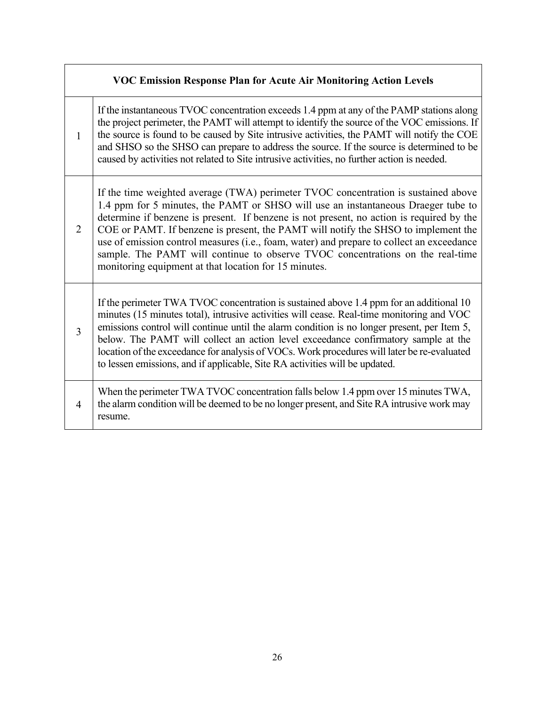# **VOC Emission Response Plan for Acute Air Monitoring Action Levels**

If the instantaneous TVOC concentration exceeds 1.4 ppm at any of the PAMP stations along the project perimeter, the PAMT will attempt to identify the source of the VOC emissions. If the source is found to be caused by Site intrusive activities, the PAMT will notify the COE and SHSO so the SHSO can prepare to address the source. If the source is determined to be caused by activities not related to Site intrusive activities, no further action is needed.

1

 $\mathcal{L}$ 

If the time weighted average (TWA) perimeter TVOC concentration is sustained above 1.4 ppm for 5 minutes, the PAMT or SHSO will use an instantaneous Draeger tube to determine if benzene is present. If benzene is not present, no action is required by the COE or PAMT. If benzene is present, the PAMT will notify the SHSO to implement the use of emission control measures (i.e., foam, water) and prepare to collect an exceedance sample. The PAMT will continue to observe TVOC concentrations on the real-time monitoring equipment at that location for 15 minutes.

3 If the perimeter TWA TVOC concentration is sustained above 1.4 ppm for an additional 10 minutes (15 minutes total), intrusive activities will cease. Real-time monitoring and VOC emissions control will continue until the alarm condition is no longer present, per Item 5, below. The PAMT will collect an action level exceedance confirmatory sample at the location of the exceedance for analysis of VOCs. Work procedures will later be re-evaluated to lessen emissions, and if applicable, Site RA activities will be updated.

4 When the perimeter TWA TVOC concentration falls below 1.4 ppm over 15 minutes TWA, the alarm condition will be deemed to be no longer present, and Site RA intrusive work may resume.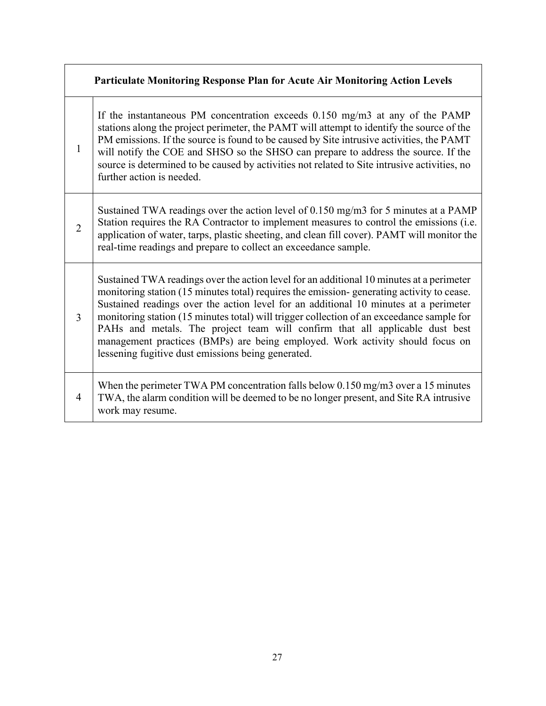# **Particulate Monitoring Response Plan for Acute Air Monitoring Action Levels**

If the instantaneous PM concentration exceeds 0.150 mg/m3 at any of the PAMP stations along the project perimeter, the PAMT will attempt to identify the source of the PM emissions. If the source is found to be caused by Site intrusive activities, the PAMT will notify the COE and SHSO so the SHSO can prepare to address the source. If the source is determined to be caused by activities not related to Site intrusive activities, no further action is needed.

1

 $\mathcal{L}$ Sustained TWA readings over the action level of 0.150 mg/m3 for 5 minutes at a PAMP Station requires the RA Contractor to implement measures to control the emissions (i.e. application of water, tarps, plastic sheeting, and clean fill cover). PAMT will monitor the real-time readings and prepare to collect an exceedance sample.

3 Sustained TWA readings over the action level for an additional 10 minutes at a perimeter monitoring station (15 minutes total) requires the emission- generating activity to cease. Sustained readings over the action level for an additional 10 minutes at a perimeter monitoring station (15 minutes total) will trigger collection of an exceedance sample for PAHs and metals. The project team will confirm that all applicable dust best management practices (BMPs) are being employed. Work activity should focus on lessening fugitive dust emissions being generated.

#### 4 When the perimeter TWA PM concentration falls below 0.150 mg/m3 over a 15 minutes TWA, the alarm condition will be deemed to be no longer present, and Site RA intrusive work may resume.